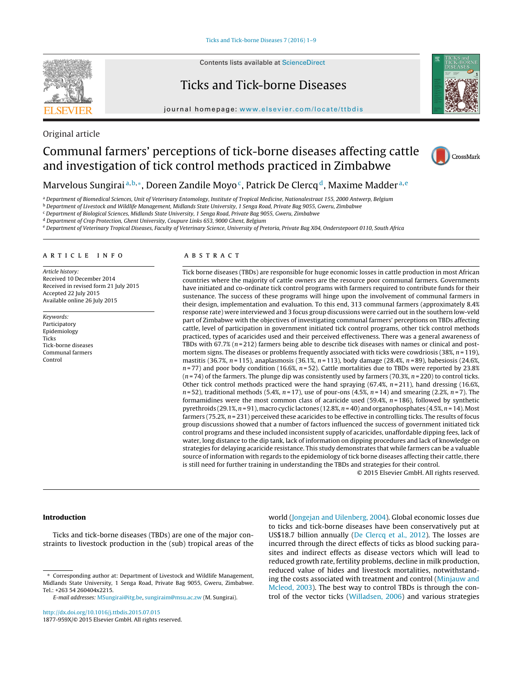

Contents lists available at [ScienceDirect](http://www.sciencedirect.com/science/journal/1877959X)

# Ticks and Tick-borne Diseases



iournal homepage: [www.elsevier.com/locate/ttbdis](http://www.elsevier.com/locate/ttbdis)

# Original article

# Communal farmers' perceptions of tick-borne diseases affecting cattle and investigation of tick control methods practiced in Zimbabwe



# Marvelous Sungirai<sup>a,b,∗</sup>, Doreen Zandile Moyo<sup>c</sup>, Patrick De Clercq<sup>d</sup>, Maxime Madder<sup>a, e</sup>

<sup>a</sup> Department of Biomedical Sciences, Unit of Veterinary Entomology, Institute of Tropical Medicine, Nationalestraat 155, 2000 Antwerp, Belgium

<sup>b</sup> Department of Livestock and Wildlife Management, Midlands State University, 1 Senga Road, Private Bag 9055, Gweru, Zimbabwe

<sup>c</sup> Department of Biological Sciences, Midlands State University, 1 Senga Road, Private Bag 9055, Gweru, Zimbabwe

<sup>d</sup> Department of Crop Protection, Ghent University, Coupure Links 653, 9000 Ghent, Belgium

<sup>e</sup> Department of Veterinary Tropical Diseases, Faculty of Veterinary Science, University of Pretoria, Private Bag X04, Onderstepoort 0110, South Africa

#### a r t i c l e i n f o

Article history: Received 10 December 2014 Received in revised form 21 July 2015 Accepted 22 July 2015 Available online 26 July 2015

Keywords: Participatory Epidemiology **Ticks** Tick-borne diseases Communal farmers Control

# A B S T R A C T

Tick borne diseases (TBDs) are responsible for huge economic losses in cattle production in most African countries where the majority of cattle owners are the resource poor communal farmers. Governments have initiated and co-ordinate tick control programs with farmers required to contribute funds for their sustenance. The success of these programs will hinge upon the involvement of communal farmers in their design, implementation and evaluation. To this end, 313 communal farmers (approximately 8.4% response rate) were interviewed and 3 focus group discussions were carried out in the southern low-veld part of Zimbabwe with the objectives of investigating communal farmers' perceptions on TBDs affecting cattle, level of participation in government initiated tick control programs, other tick control methods practiced, types of acaricides used and their perceived effectiveness. There was a general awareness of TBDs with 67.7% ( $n = 212$ ) farmers being able to describe tick diseases with names or clinical and postmortem signs. The diseases or problems frequently associated with ticks were cowdriosis (38%,  $n = 119$ ), mastitis (36.7%, n=115), anaplasmosis (36.1%, n=113), body damage (28.4%, n=89), babesiosis (24.6%,  $n = 77$ ) and poor body condition (16.6%,  $n = 52$ ). Cattle mortalities due to TBDs were reported by 23.8%  $(n=74)$  of the farmers. The plunge dip was consistently used by farmers (70.3%, n = 220) to control ticks. Other tick control methods practiced were the hand spraying  $(67.4\%, n=211)$ , hand dressing  $(16.6\%,$  $n = 52$ ), traditional methods (5.4%,  $n = 17$ ), use of pour-ons (4.5%,  $n = 14$ ) and smearing (2.2%,  $n = 7$ ). The formamidines were the most common class of acaricide used (59.4%,  $n = 186$ ), followed by synthetic pyrethroids  $(29.1\%, n=91)$ , macro cyclic lactones  $(12.8\%, n=40)$  and organophosphates  $(4.5\%, n=14)$ . Most farmers (75.2%,  $n = 231$ ) perceived these acaricides to be effective in controlling ticks. The results of focus group discussions showed that a number of factors influenced the success of government initiated tick control programs and these included inconsistent supply of acaricides, unaffordable dipping fees, lack of water, long distance to the dip tank, lack of information on dipping procedures and lack of knowledge on strategies for delaying acaricide resistance. This study demonstrates that while farmers can be a valuable source of information with regards to the epidemiology of tick borne diseases affecting their cattle, there is still need for further training in understanding the TBDs and strategies for their control.

© 2015 Elsevier GmbH. All rights reserved.

# **Introduction**

Ticks and tick-borne diseases (TBDs) are one of the major constraints to livestock production in the (sub) tropical areas of the

[http://dx.doi.org/10.1016/j.ttbdis.2015.07.015](dx.doi.org/10.1016/j.ttbdis.2015.07.015) 1877-959X/© 2015 Elsevier GmbH. All rights reserved. world [\(Jongejan](#page-8-0) [and](#page-8-0) [Uilenberg,](#page-8-0) [2004\).](#page-8-0) Global economic losses due to ticks and tick-borne diseases have been conservatively put at US\$18.7 billion annually [\(De](#page-8-0) [Clercq](#page-8-0) et [al.,](#page-8-0) [2012\).](#page-8-0) The losses are incurred through the direct effects of ticks as blood sucking parasites and indirect effects as disease vectors which will lead to reduced growth rate, fertility problems, decline in milk production, reduced value of hides and livestock mortalities, notwithstanding the costs associated with treatment and control [\(Minjauw](#page-8-0) [and](#page-8-0) [Mcleod,](#page-8-0) [2003\).](#page-8-0) The best way to control TBDs is through the control of the vector ticks [\(Willadsen,](#page-8-0) [2006\)](#page-8-0) and various strategies

<sup>∗</sup> Corresponding author at: Department of Livestock and Wildlife Management, Midlands State University, 1 Senga Road, Private Bag 9055, Gweru, Zimbabwe. Tel.: +263 54 260404x2215.

E-mail addresses: [MSungirai@itg.be](mailto:MSungirai@itg.be), [sungiraim@msu.ac.zw](mailto:sungiraim@msu.ac.zw) (M. Sungirai).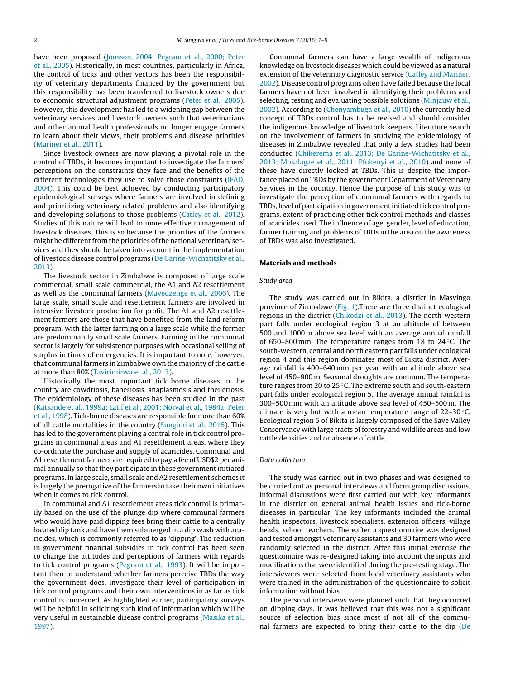have been proposed ([Jonsson,](#page-8-0) [2004;](#page-8-0) [Pegram](#page-8-0) et [al.,](#page-8-0) [2000;](#page-8-0) [Peter](#page-8-0) et [al.,](#page-8-0) [2005\).](#page-8-0) Historically, in most countries, particularly in Africa, the control of ticks and other vectors has been the responsibility of veterinary departments financed by the government but this responsibility has been transferred to livestock owners due to economic structural adjustment programs [\(Peter](#page-8-0) et [al.,](#page-8-0) [2005\).](#page-8-0) However, this development has led to a widening gap between the veterinary services and livestock owners such that veterinarians and other animal health professionals no longer engage farmers to learn about their views, their problems and disease priorities ([Mariner](#page-8-0) et [al.,](#page-8-0) [2011\).](#page-8-0)

Since livestock owners are now playing a pivotal role in the control of TBDs, it becomes important to investigate the farmers' perceptions on the constraints they face and the benefits of the different technologies they use to solve those constraints [\(IFAD,](#page-8-0) [2004\).](#page-8-0) This could be best achieved by conducting participatory epidemiological surveys where farmers are involved in defining and prioritizing veterinary related problems and also identifying and developing solutions to those problems ([Catley](#page-8-0) et [al.,](#page-8-0) [2012\).](#page-8-0) Studies of this nature will lead to more effective management of livestock diseases. This is so because the priorities of the farmers might be different from the priorities of the national veterinary services and they should be taken into account in the implementation of livestock disease control programs ([De](#page-8-0) [Garine-Wichatitsky](#page-8-0) et [al.,](#page-8-0) [2013\).](#page-8-0)

The livestock sector in Zimbabwe is composed of large scale commercial, small scale commercial, the A1 and A2 resettlement as well as the communal farmers ([Mavedzenge](#page-8-0) et [al.,](#page-8-0) [2006\).](#page-8-0) The large scale, small scale and resettlement farmers are involved in intensive livestock production for profit. The A1 and A2 resettlement farmers are those that have benefited from the land reform program, with the latter farming on a large scale while the former are predominantly small scale farmers. Farming in the communal sector is largely for subsistence purposes with occasional selling of surplus in times of emergencies. It is important to note, however, that communal farmers in Zimbabwe own the majority of the cattle at more than 80% ([Tavirimirwa](#page-8-0) et [al.,](#page-8-0) [2013\).](#page-8-0)

Historically the most important tick borne diseases in the country are cowdriosis, babesiosis, anaplasmosis and theileriosis. The epidemiology of these diseases has been studied in the past ([Katsande](#page-8-0) et [al.,](#page-8-0) [1999a;](#page-8-0) [Latif](#page-8-0) et [al.,](#page-8-0) [2001;](#page-8-0) [Norval](#page-8-0) et [al.,](#page-8-0) [1984a;](#page-8-0) [Peter](#page-8-0) et [al.,](#page-8-0) [1998\).](#page-8-0) Tick-borne diseases are responsible for more than 60% of all cattle mortalities in the country [\(Sungirai](#page-8-0) et [al.,](#page-8-0) [2015\).](#page-8-0) This has led to the government playing a central role in tick control programs in communal areas and A1 resettlement areas, where they co-ordinate the purchase and supply of acaricides. Communal and A1 resettlement farmers are required to pay a fee of USD\$2 per animal annually so that they participate in these government initiated programs. In large scale, small scale and A2 resettlement schemes it is largely the prerogative of the farmers to take their own initiatives when it comes to tick control.

In communal and A1 resettlement areas tick control is primarily based on the use of the plunge dip where communal farmers who would have paid dipping fees bring their cattle to a centrally located dip tank and have them submerged in a dip wash with acaricides, which is commonly referred to as 'dipping'. The reduction in government financial subsidies in tick control has been seen to change the attitudes and perceptions of farmers with regards to tick control programs ([Pegram](#page-8-0) et [al.,](#page-8-0) [1993\).](#page-8-0) It will be important then to understand whether farmers perceive TBDs the way the government does, investigate their level of participation in tick control programs and their own interventions in as far as tick control is concerned. As highlighted earlier, participatory surveys will be helpful in soliciting such kind of information which will be very useful in sustainable disease control programs ([Masika](#page-8-0) et [al.,](#page-8-0) [1997\).](#page-8-0)

Communal farmers can have a large wealth of indigenous knowledge on livestock diseases which could be viewed as a natural extension of the veterinary diagnostic service ([Catley](#page-8-0) [and](#page-8-0) [Mariner,](#page-8-0) [2002\).](#page-8-0) Disease control programs often have failed because the local farmers have not been involved in identifying their problems and selecting, testing and evaluating possible solutions [\(Minjauw](#page-8-0) et [al.,](#page-8-0) [2002\).](#page-8-0) According to [\(Chenyambuga](#page-8-0) et [al.,](#page-8-0) [2010\)](#page-8-0) the currently held concept of TBDs control has to be revised and should consider the indigenous knowledge of livestock keepers. Literature search on the involvement of farmers in studying the epidemiology of diseases in Zimbabwe revealed that only a few studies had been conducted [\(Chikerema](#page-8-0) et [al.,](#page-8-0) [2013;](#page-8-0) [De](#page-8-0) [Garine-Wichatitsky](#page-8-0) et [al.,](#page-8-0) [2013;](#page-8-0) [Mosalagae](#page-8-0) et [al.,](#page-8-0) [2011;](#page-8-0) [Pfukenyi](#page-8-0) et [al.,](#page-8-0) [2010\)](#page-8-0) and none of these have directly looked at TBDs. This is despite the importance placed on TBDs by the government Department of Veterinary Services in the country. Hence the purpose of this study was to investigate the perception of communal farmers with regards to TBDs, level of participation in government initiated tick control programs, extent of practicing other tick control methods and classes of acaricides used. The influence of age, gender, level of education, farmer training and problems of TBDs in the area on the awareness of TBDs was also investigated.

#### **Materials and methods**

#### Study area

The study was carried out in Bikita, a district in Masvingo province of Zimbabwe [\(Fig.](#page-2-0) 1).There are three distinct ecological regions in the district [\(Chikodzi](#page-8-0) et [al.,](#page-8-0) [2013\).](#page-8-0) The north-western part falls under ecological region 3 at an altitude of between 500 and 1000 m above sea level with an average annual rainfall of 650–800 mm. The temperature ranges from 18 to  $24^{\circ}$ C. The south-western, central and north eastern part falls under ecological region 4 and this region dominates most of Bikita district. Average rainfall is 400–640 mm per year with an altitude above sea level of 450–900 m. Seasonal droughts are common. The temperature ranges from 20 to 25 $\degree$ C. The extreme south and south-eastern part falls under ecological region 5. The average annual rainfall is 300–500 mm with an altitude above sea level of 450–500 m. The climate is very hot with a mean temperature range of  $22-30$  °C. Ecological region 5 of Bikita is largely composed of the Save Valley Conservancy with large tracts of forestry and wildlife areas and low cattle densities and or absence of cattle.

# Data collection

The study was carried out in two phases and was designed to be carried out as personal interviews and focus group discussions. Informal discussions were first carried out with key informants in the district on general animal health issues and tick-borne diseases in particular. The key informants included the animal health inspectors, livestock specialists, extension officers, village heads, school teachers. Thereafter a questionnaire was designed and tested amongst veterinary assistants and 30 farmers who were randomly selected in the district. After this initial exercise the questionnaire was re-designed taking into account the inputs and modifications that were identified during the pre-testing stage. The interviewers were selected from local veterinary assistants who were trained in the administration of the questionnaire to solicit information without bias.

The personal interviews were planned such that they occurred on dipping days. It was believed that this was not a significant source of selection bias since most if not all of the communal farmers are expected to bring their cattle to the dip ([De](#page-8-0)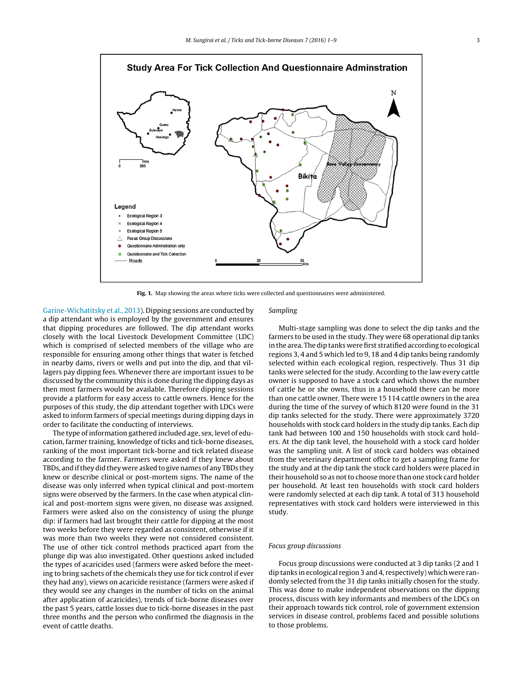<span id="page-2-0"></span>

**Fig. 1.** Map showing the areas where ticks were collected and questionnaires were administered.

[Garine-Wichatitsky](#page-8-0) et [al.,](#page-8-0) [2013\).](#page-8-0) Dipping sessions are conducted by a dip attendant who is employed by the government and ensures that dipping procedures are followed. The dip attendant works closely with the local Livestock Development Committee (LDC) which is comprised of selected members of the village who are responsible for ensuring among other things that water is fetched in nearby dams, rivers or wells and put into the dip, and that villagers pay dipping fees. Whenever there are important issues to be discussed by the community this is done during the dipping days as then most farmers would be available. Therefore dipping sessions provide a platform for easy access to cattle owners. Hence for the purposes of this study, the dip attendant together with LDCs were asked to inform farmers of special meetings during dipping days in order to facilitate the conducting of interviews.

The type of information gathered included age, sex, level of education, farmer training, knowledge of ticks and tick-borne diseases, ranking of the most important tick-borne and tick related disease according to the farmer. Farmers were asked if they knew about TBDs, and if they did they were asked to give names of any TBDs they knew or describe clinical or post-mortem signs. The name of the disease was only inferred when typical clinical and post-mortem signs were observed by the farmers. In the case when atypical clinical and post-mortem signs were given, no disease was assigned. Farmers were asked also on the consistency of using the plunge dip: if farmers had last brought their cattle for dipping at the most two weeks before they were regarded as consistent, otherwise if it was more than two weeks they were not considered consistent. The use of other tick control methods practiced apart from the plunge dip was also investigated. Other questions asked included the types of acaricides used (farmers were asked before the meeting to bring sachets of the chemicals they use for tick control if ever they had any), views on acaricide resistance (farmers were asked if they would see any changes in the number of ticks on the animal after application of acaricides), trends of tick-borne diseases over the past 5 years, cattle losses due to tick-borne diseases in the past three months and the person who confirmed the diagnosis in the event of cattle deaths.

# Sampling

Multi-stage sampling was done to select the dip tanks and the farmers to be used in the study. They were 68 operational dip tanks in the area. The dip tanks were first stratified according to ecological regions 3, 4 and 5 which led to 9, 18 and 4 dip tanks being randomly selected within each ecological region, respectively. Thus 31 dip tanks were selected for the study. According to the law every cattle owner is supposed to have a stock card which shows the number of cattle he or she owns, thus in a household there can be more than one cattle owner. There were 15 114 cattle owners in the area during the time of the survey of which 8120 were found in the 31 dip tanks selected for the study. There were approximately 3720 households with stock card holders in the study dip tanks. Each dip tank had between 100 and 150 households with stock card holders. At the dip tank level, the household with a stock card holder was the sampling unit. A list of stock card holders was obtained from the veterinary department office to get a sampling frame for the study and at the dip tank the stock card holders were placed in their household so as not to choose more than one stock card holder per household. At least ten households with stock card holders were randomly selected at each dip tank. A total of 313 household representatives with stock card holders were interviewed in this study.

### Focus group discussions

Focus group discussions were conducted at 3 dip tanks (2 and 1 dip tanks in ecological region 3 and 4, respectively) which were randomly selected from the 31 dip tanks initially chosen for the study. This was done to make independent observations on the dipping process, discuss with key informants and members of the LDCs on their approach towards tick control, role of government extension services in disease control, problems faced and possible solutions to those problems.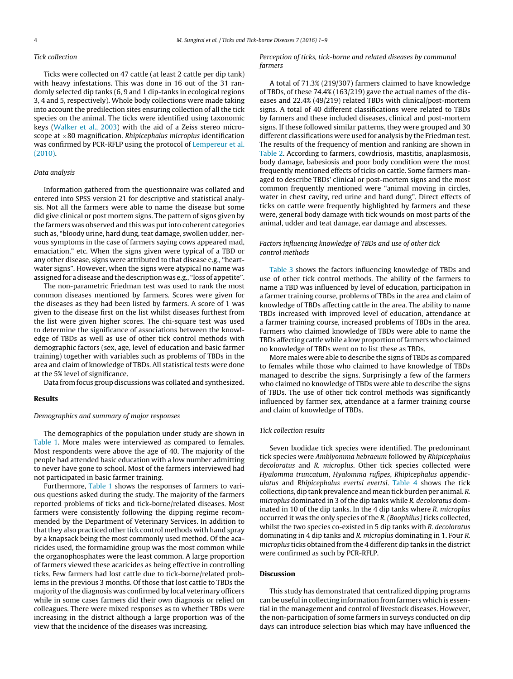#### Tick collection

Ticks were collected on 47 cattle (at least 2 cattle per dip tank) with heavy infestations. This was done in 16 out of the 31 randomly selected dip tanks (6, 9 and 1 dip-tanks in ecological regions 3, 4 and 5, respectively). Whole body collections were made taking into account the predilection sites ensuring collection of all the tick species on the animal. The ticks were identified using taxonomic keys ([Walker](#page-8-0) et [al.,](#page-8-0) [2003\)](#page-8-0) with the aid of a Zeiss stereo microscope at  $\times$ 80 magnification. Rhipicephalus microplus identification was confirmed by PCR-RFLP using the protocol of [Lempereur](#page-8-0) et [al.](#page-8-0) [\(2010\).](#page-8-0)

#### Data analysis

Information gathered from the questionnaire was collated and entered into SPSS version 21 for descriptive and statistical analysis. Not all the farmers were able to name the disease but some did give clinical or post mortem signs. The pattern of signs given by the farmers was observed and this was putinto coherent categories such as, "bloody urine, hard dung, teat damage, swollen udder, nervous symptoms in the case of farmers saying cows appeared mad, emaciation," etc. When the signs given were typical of a TBD or any other disease, signs were attributed to that disease e.g., "heartwater signs". However, when the signs were atypical no name was assigned for a disease and the description was e.g., "loss of appetite".

The non-parametric Friedman test was used to rank the most common diseases mentioned by farmers. Scores were given for the diseases as they had been listed by farmers. A score of 1 was given to the disease first on the list whilst diseases furthest from the list were given higher scores. The chi-square test was used to determine the significance of associations between the knowledge of TBDs as well as use of other tick control methods with demographic factors (sex, age, level of education and basic farmer training) together with variables such as problems of TBDs in the area and claim of knowledge of TBDs. All statistical tests were done at the 5% level of significance.

Data from focus group discussions was collated and synthesized.

#### **Results**

#### Demographics and summary of major responses

The demographics of the population under study are shown in [Table](#page-4-0) 1. More males were interviewed as compared to females. Most respondents were above the age of 40. The majority of the people had attended basic education with a low number admitting to never have gone to school. Most of the farmers interviewed had not participated in basic farmer training.

Furthermore, [Table](#page-4-0) 1 shows the responses of farmers to various questions asked during the study. The majority of the farmers reported problems of ticks and tick-borne/related diseases. Most farmers were consistently following the dipping regime recommended by the Department of Veterinary Services. In addition to that they also practiced other tick control methods with hand spray by a knapsack being the most commonly used method. Of the acaricides used, the formamidine group was the most common while the organophosphates were the least common. A large proportion of farmers viewed these acaricides as being effective in controlling ticks. Few farmers had lost cattle due to tick-borne/related problems in the previous 3 months. Of those that lost cattle to TBDs the majority of the diagnosis was confirmed by local veterinary officers while in some cases farmers did their own diagnosis or relied on colleagues. There were mixed responses as to whether TBDs were increasing in the district although a large proportion was of the view that the incidence of the diseases was increasing.

### Perception of ticks, tick-borne and related diseases by communal farmers

A total of 71.3% (219/307) farmers claimed to have knowledge of TBDs, of these 74.4% (163/219) gave the actual names of the diseases and 22.4% (49/219) related TBDs with clinical/post-mortem signs. A total of 40 different classifications were related to TBDs by farmers and these included diseases, clinical and post-mortem signs. If these followed similar patterns, they were grouped and 30 different classifications were used for analysis by the Friedman test. The results of the frequency of mention and ranking are shown in [Table](#page-5-0) 2. According to farmers, cowdriosis, mastitis, anaplasmosis, body damage, babesiosis and poor body condition were the most frequently mentioned effects of ticks on cattle. Some farmers managed to describe TBDs' clinical or post-mortem signs and the most common frequently mentioned were "animal moving in circles, water in chest cavity, red urine and hard dung". Direct effects of ticks on cattle were frequently highlighted by farmers and these were, general body damage with tick wounds on most parts of the animal, udder and teat damage, ear damage and abscesses.

# Factors influencing knowledge of TBDs and use of other tick control methods

[Table](#page-6-0) 3 shows the factors influencing knowledge of TBDs and use of other tick control methods. The ability of the farmers to name a TBD was influenced by level of education, participation in a farmer training course, problems of TBDs in the area and claim of knowledge of TBDs affecting cattle in the area. The ability to name TBDs increased with improved level of education, attendance at a farmer training course, increased problems of TBDs in the area. Farmers who claimed knowledge of TBDs were able to name the TBDs affecting cattle while a low proportionoffarmers who claimed no knowledge of TBDs went on to list these as TBDs.

More males were able to describe the signs of TBDs as compared to females while those who claimed to have knowledge of TBDs managed to describe the signs. Surprisingly a few of the farmers who claimed no knowledge of TBDs were able to describe the signs of TBDs. The use of other tick control methods was significantly influenced by farmer sex, attendance at a farmer training course and claim of knowledge of TBDs.

#### Tick collection results

Seven Ixodidae tick species were identified. The predominant tick species were Amblyomma hebraeum followed by Rhipicephalus decoloratus and R. microplus. Other tick species collected were Hyalomma truncatum, Hyalomma rufipes, Rhipicephalus appendiculatus and Rhipicephalus evertsi evertsi. [Table](#page-6-0) 4 shows the tick collections, dip tank prevalence andmean tick burden per animal. R. microplus dominated in 3 of the dip tanks while R. decoloratus dominated in 10 of the dip tanks. In the 4 dip tanks where R. microplus occurred it was the only species of the R. (Boophilus) ticks collected, whilst the two species co-existed in 5 dip tanks with R. decoloratus dominating in 4 dip tanks and R. microplus dominating in 1. Four R. microplus ticks obtained from the 4 different dip tanks in the district were confirmed as such by PCR-RFLP.

#### **Discussion**

This study has demonstrated that centralized dipping programs can be useful in collecting information from farmers which is essential in the management and control of livestock diseases. However, the non-participation of some farmers in surveys conducted on dip days can introduce selection bias which may have influenced the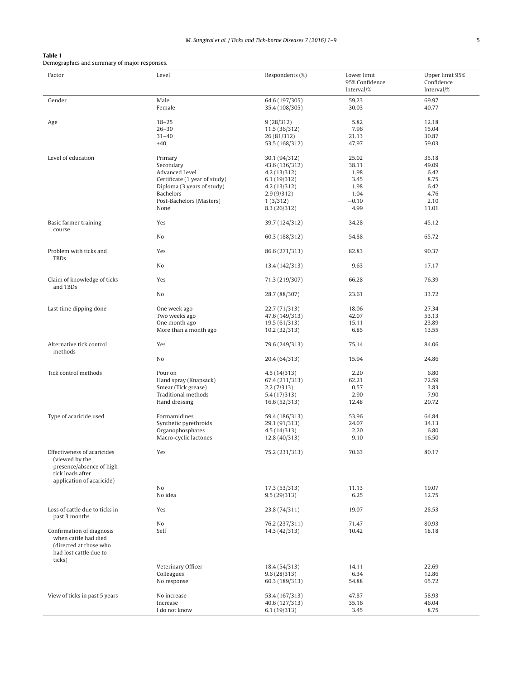# <span id="page-4-0"></span>**Table 1**

Demographics and summary of major responses.

| Factor                                                                                                                     | Level                         | Respondents (%)                 | Lower limit<br>95% Confidence<br>Interval/% | Upper limit 95%<br>Confidence<br>Interval/% |
|----------------------------------------------------------------------------------------------------------------------------|-------------------------------|---------------------------------|---------------------------------------------|---------------------------------------------|
| Gender                                                                                                                     | Male                          | 64.6 (197/305)                  | 59.23                                       | 69.97                                       |
|                                                                                                                            | Female                        | 35.4 (108/305)                  | 30.03                                       | 40.77                                       |
| Age                                                                                                                        | $18 - 25$                     | 9(28/312)                       | 5.82                                        | 12.18                                       |
|                                                                                                                            | $26 - 30$                     | 11.5 (36/312)                   | 7.96                                        | 15.04                                       |
|                                                                                                                            | $31 - 40$                     | 26 (81/312)                     | 21.13                                       | 30.87                                       |
|                                                                                                                            | $+40$                         | 53.5 (168/312)                  | 47.97                                       | 59.03                                       |
| Level of education                                                                                                         | Primary                       | 30.1 (94/312)                   | 25.02                                       | 35.18                                       |
|                                                                                                                            | Secondary                     | 43.6 (136/312)                  | 38.11                                       | 49.09                                       |
|                                                                                                                            | Advanced Level                | 4.2 (13/312)                    | 1.98                                        | 6.42                                        |
|                                                                                                                            | Certificate (1 year of study) | 6.1(19/312)                     | 3.45                                        | 8.75                                        |
|                                                                                                                            | Diploma (3 years of study)    | 4.2 (13/312)                    | 1.98                                        | 6.42                                        |
|                                                                                                                            | <b>Bachelors</b>              | 2.9(9/312)                      | 1.04                                        | 4.76                                        |
|                                                                                                                            | Post-Bachelors (Masters)      | 1(3/312)                        | $-0.10$                                     | 2.10                                        |
|                                                                                                                            | None                          | 8.3 (26/312)                    | 4.99                                        | 11.01                                       |
| Basic farmer training                                                                                                      | Yes                           | 39.7 (124/312)                  | 34.28                                       | 45.12                                       |
| course                                                                                                                     | No                            | 60.3 (188/312)                  | 54.88                                       | 65.72                                       |
| Problem with ticks and                                                                                                     | Yes                           | 86.6 (271/313)                  | 82.83                                       | 90.37                                       |
| <b>TBDs</b>                                                                                                                | No                            | 13.4 (142/313)                  | 9.63                                        | 17.17                                       |
| Claim of knowledge of ticks<br>and TBDs                                                                                    | Yes                           | 71.3 (219/307)                  | 66.28                                       | 76.39                                       |
|                                                                                                                            | No                            | 28.7 (88/307)                   | 23.61                                       | 33.72                                       |
| Last time dipping done                                                                                                     | One week ago                  | 22.7 (71/313)                   | 18.06                                       | 27.34                                       |
|                                                                                                                            | Two weeks ago                 | 47.6 (149/313)                  | 42.07                                       | 53.13                                       |
|                                                                                                                            | One month ago                 | 19.5 (61/313)                   | 15.11                                       | 23.89                                       |
|                                                                                                                            | More than a month ago         | 10.2 (32/313)                   | 6.85                                        | 13.55                                       |
| Alternative tick control<br>methods                                                                                        | Yes                           | 79.6 (249/313)                  | 75.14                                       | 84.06                                       |
|                                                                                                                            | No                            | 20.4 (64/313)                   | 15.94                                       | 24.86                                       |
| Tick control methods                                                                                                       | Pour on                       | 4.5(14/313)                     | 2.20                                        | 6.80                                        |
|                                                                                                                            | Hand spray (Knapsack)         | 67.4 (211/313)                  | 62.21                                       | 72.59                                       |
|                                                                                                                            | Smear (Tick grease)           | 2.2(7/313)                      | 0.57                                        | 3.83                                        |
|                                                                                                                            | <b>Traditional methods</b>    | 5.4(17/313)                     | 2.90                                        | 7.90                                        |
|                                                                                                                            | Hand dressing                 | 16.6 (52/313)                   | 12.48                                       | 20.72                                       |
| Type of acaricide used                                                                                                     | Formamidines                  | 59.4 (186/313)                  | 53.96                                       | 64.84                                       |
|                                                                                                                            | Synthetic pyrethroids         | 29.1 (91/313)                   | 24.07                                       | 34.13                                       |
|                                                                                                                            | Organophosphates              | 4.5(14/313)                     | 2.20                                        | 6.80                                        |
|                                                                                                                            | Macro-cyclic lactones         | 12.8 (40/313)                   | 9.10                                        | 16.50                                       |
| Effectiveness of acaricides<br>(viewed by the<br>presence/absence of high<br>tick loads after<br>application of acaricide) | Yes                           | 75.2 (231/313)                  | 70.63                                       | 80.17                                       |
|                                                                                                                            | No                            | 17.3 (53/313)                   | 11.13                                       | 19.07                                       |
|                                                                                                                            | No idea                       | 9.5(29/313)                     | 6.25                                        | 12.75                                       |
| Loss of cattle due to ticks in<br>past 3 months                                                                            | Yes                           | 23.8 (74/311)                   | 19.07                                       | 28.53                                       |
| Confirmation of diagnosis<br>when cattle had died<br>(directed at those who<br>had lost cattle due to<br>ticks)            | No<br>Self                    | 76.2 (237/311)<br>14.3 (42/313) | 71.47<br>10.42                              | 80.93<br>18.18                              |
|                                                                                                                            | Veterinary Officer            | 18.4 (54/313)                   | 14.11                                       | 22.69                                       |
|                                                                                                                            | Colleagues                    | 9.6(28/313)                     | 6.34                                        | 12.86                                       |
|                                                                                                                            | No response                   | 60.3 (189/313)                  | 54.88                                       | 65.72                                       |
| View of ticks in past 5 years                                                                                              | No increase                   | 53.4 (167/313)                  | 47.87                                       | 58.93                                       |
|                                                                                                                            | Increase                      | 40.6 (127/313)                  | 35.16                                       | 46.04                                       |
|                                                                                                                            | I do not know                 | 6.1(19/313)                     | 3.45                                        | 8.75                                        |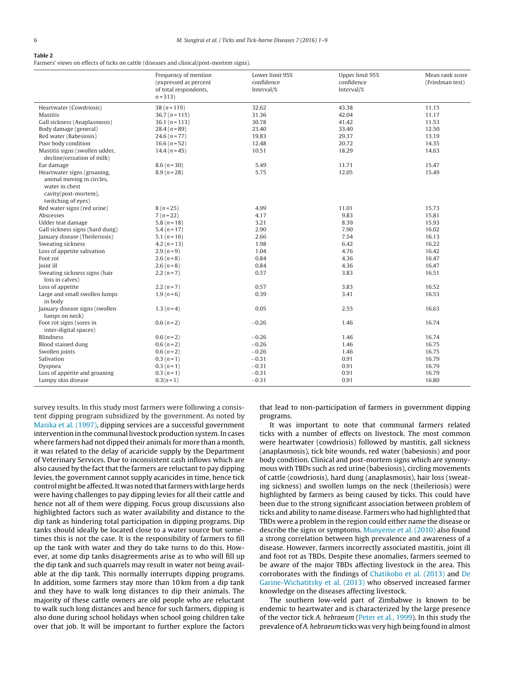# <span id="page-5-0"></span>**Table 2**

Farmers' views on effects of ticks on cattle (diseases and clinical/post-mortem signs).

|                                                                                                                          | Frequency of mention<br>(expressed as percent<br>of total respondents,<br>$n = 313$ | Lower limit 95%<br>confidence<br>Interval/% | Upper limit 95%<br>confidence<br>Interval/% | Mean rank score<br>(Friedman test) |
|--------------------------------------------------------------------------------------------------------------------------|-------------------------------------------------------------------------------------|---------------------------------------------|---------------------------------------------|------------------------------------|
| Heartwater (Cowdriosis)                                                                                                  | $38(n=119)$                                                                         | 32.62                                       | 43.38                                       | 11.15                              |
| <b>Mastitis</b>                                                                                                          | $36.7 (n = 115)$                                                                    | 31.36                                       | 42.04                                       | 11.17                              |
| Gall sickness (Anaplasmosis)                                                                                             | 36.1 $(n=113)$                                                                      | 30.78                                       | 41.42                                       | 11.53                              |
| Body damage (general)                                                                                                    | $28.4(n=89)$                                                                        | 23.40                                       | 33.40                                       | 12.50                              |
| Red water (Babesiosis)                                                                                                   | $24.6(n=77)$                                                                        | 19.83                                       | 29.37                                       | 13.19                              |
| Poor body condition                                                                                                      | $16.6(n=52)$                                                                        | 12.48                                       | 20.72                                       | 14.35                              |
| Mastitis signs (swollen udder,<br>decline/cessation of milk)                                                             | $14.4(n=45)$                                                                        | 10.51                                       | 18.29                                       | 14.63                              |
| Ear damage                                                                                                               | $8.6(n=30)$                                                                         | 5.49                                        | 11.71                                       | 15.47                              |
| Heartwater signs (groaning,<br>animal moving in circles,<br>water in chest<br>cavity(post-mortem),<br>twitching of eyes) | $8.9(n=28)$                                                                         | 5.75                                        | 12.05                                       | 15.49                              |
| Red water signs (red urine)                                                                                              | $8(n=25)$                                                                           | 4.99                                        | 11.01                                       | 15.73                              |
| Abscesses                                                                                                                | $7(n=22)$                                                                           | 4.17                                        | 9.83                                        | 15.81                              |
| Udder teat damage                                                                                                        | 5.8 $(n=18)$                                                                        | 3.21                                        | 8.39                                        | 15.93                              |
| Gall sickness signs (hard dung)                                                                                          | $5.4(n=17)$                                                                         | 2.90                                        | 7.90                                        | 16.02                              |
| January disease (Theileriosis)                                                                                           | $5.1(n=16)$                                                                         | 2.66                                        | 7.54                                        | 16.13                              |
| Sweating sickness                                                                                                        | $4.2(n=13)$                                                                         | 1.98                                        | 6.42                                        | 16.22                              |
| Loss of appetite salivation                                                                                              | $2.9(n=9)$                                                                          | 1.04                                        | 4.76                                        | 16.42                              |
| Foot rot                                                                                                                 | $2.6(n=8)$                                                                          | 0.84                                        | 4.36                                        | 16.47                              |
| Joint ill                                                                                                                | $2.6(n=8)$                                                                          | 0.84                                        | 4.36                                        | 16.47                              |
| Sweating sickness signs (hair<br>loss in calves)                                                                         | $2.2(n=7)$                                                                          | 0.57                                        | 3.83                                        | 16.51                              |
| Loss of appetite                                                                                                         | $2.2(n=7)$                                                                          | 0.57                                        | 3.83                                        | 16.52                              |
| Large and small swollen lumps<br>in body                                                                                 | $1.9(n=6)$                                                                          | 0.39                                        | 3.41                                        | 16.53                              |
| January disease signs (swollen<br>lumps on neck)                                                                         | $1.3(n=4)$                                                                          | 0.05                                        | 2.55                                        | 16.63                              |
| Foot rot signs (sores in<br>inter-digital spaces)                                                                        | $0.6(n=2)$                                                                          | $-0.26$                                     | 1.46                                        | 16.74                              |
| <b>Blindness</b>                                                                                                         | $0.6(n=2)$                                                                          | $-0.26$                                     | 1.46                                        | 16.74                              |
| Blood stained dung                                                                                                       | $0.6(n=2)$                                                                          | $-0.26$                                     | 1.46                                        | 16.75                              |
| Swollen joints                                                                                                           | $0.6(n=2)$                                                                          | $-0.26$                                     | 1.46                                        | 16.75                              |
| Salivation                                                                                                               | $0.3(n=1)$                                                                          | $-0.31$                                     | 0.91                                        | 16.79                              |
| Dyspnea                                                                                                                  | $0.3(n=1)$                                                                          | $-0.31$                                     | 0.91                                        | 16.79                              |
| Loss of appetite and groaning                                                                                            | $0.3(n=1)$                                                                          | $-0.31$                                     | 0.91                                        | 16.79                              |
| Lumpy skin disease                                                                                                       | $0.3(n=1)$                                                                          | $-0.31$                                     | 0.91                                        | 16.80                              |

survey results. In this study most farmers were following a consistent dipping program subsidized by the government. As noted by [Masika](#page-8-0) et [al.](#page-8-0) [\(1997\),](#page-8-0) dipping services are a successful government intervention in the communal livestock production system. In cases where farmers had not dipped their animals for more than a month, it was related to the delay of acaricide supply by the Department of Veterinary Services. Due to inconsistent cash inflows which are also caused by the fact that the farmers are reluctant to pay dipping levies, the government cannot supply acaricides in time, hence tick control might be affected. It was noted that farmers with large herds were having challenges to pay dipping levies for all their cattle and hence not all of them were dipping. Focus group discussions also highlighted factors such as water availability and distance to the dip tank as hindering total participation in dipping programs. Dip tanks should ideally be located close to a water source but sometimes this is not the case. It is the responsibility of farmers to fill up the tank with water and they do take turns to do this. However, at some dip tanks disagreements arise as to who will fill up the dip tank and such quarrels may result in water not being available at the dip tank. This normally interrupts dipping programs. In addition, some farmers stay more than 10 km from a dip tank and they have to walk long distances to dip their animals. The majority of these cattle owners are old people who are reluctant to walk such long distances and hence for such farmers, dipping is also done during school holidays when school going children take over that job. It will be important to further explore the factors

that lead to non-participation of farmers in government dipping programs.

It was important to note that communal farmers related ticks with a number of effects on livestock. The most common were heartwater (cowdriosis) followed by mastitis, gall sickness (anaplasmosis), tick bite wounds, red water (babesiosis) and poor body condition. Clinical and post-mortem signs which are synonymous with TBDs such as red urine (babesiosis), circling movements of cattle (cowdriosis), hard dung (anaplasmosis), hair loss (sweating sickness) and swollen lumps on the neck (theileriosis) were highlighted by farmers as being caused by ticks. This could have been due to the strong significant association between problem of ticks and ability to name disease. Farmers who had highlighted that TBDs were a problem in the region could either name the disease or describe the signs or symptoms. [Munyeme](#page-8-0) et [al.](#page-8-0) [\(2010\)](#page-8-0) also found a strong correlation between high prevalence and awareness of a disease. However, farmers incorrectly associated mastitis, joint ill and foot rot as TBDs. Despite these anomalies, farmers seemed to be aware of the major TBDs affecting livestock in the area. This corroborates with the findings of [Chatikobo](#page-8-0) et [al.](#page-8-0) [\(2013\)](#page-8-0) and [De](#page-8-0) [Garine-Wichatitsky](#page-8-0) et [al.](#page-8-0) [\(2013\)](#page-8-0) who observed increased farmer knowledge on the diseases affecting livestock.

The southern low-veld part of Zimbabwe is known to be endemic to heartwater and is characterized by the large presence of the vector tick A. hebraeum ([Peter](#page-8-0) et [al.,](#page-8-0) [1999\).](#page-8-0) In this study the prevalence of A. hebraeum ticks was very high being found in almost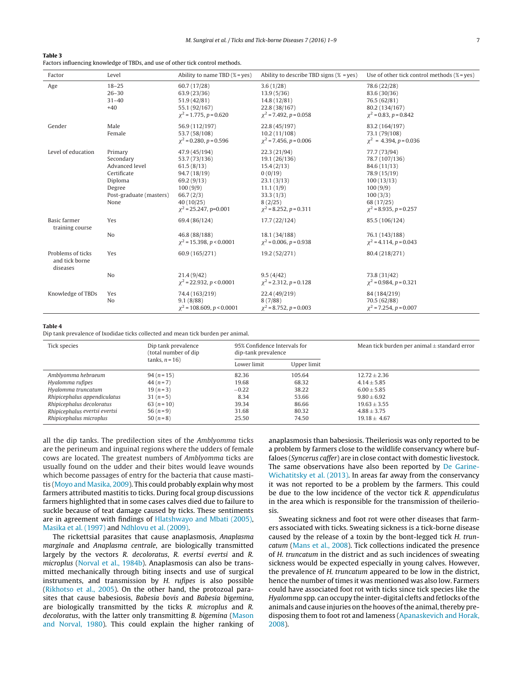#### <span id="page-6-0"></span>**Table 3**

Factors influencing knowledge of TBDs, and use of other tick control methods.

| Factor                                          | Level                                                                                                         | Ability to name TBD $(%$ = yes)                                                                                                                | Ability to describe TBD signs $(\% = \text{ves})$                                                                                       | Use of other tick control methods $(\% = \text{ves})$                                                                                             |
|-------------------------------------------------|---------------------------------------------------------------------------------------------------------------|------------------------------------------------------------------------------------------------------------------------------------------------|-----------------------------------------------------------------------------------------------------------------------------------------|---------------------------------------------------------------------------------------------------------------------------------------------------|
| Age                                             | $18 - 25$<br>$26 - 30$<br>$31 - 40$<br>$+40$                                                                  | 60.7 (17/28)<br>63.9 (23/36)<br>51.9(42/81)<br>55.1 (92/167)<br>$\chi^2$ = 1.775, p = 0.620                                                    | 3.6(1/28)<br>13.9(5/36)<br>14.8(12/81)<br>22.8 (38/167)<br>$\chi^2$ = 7.492, p = 0.058                                                  | 78.6 (22/28)<br>83.6 (30/36)<br>76.5 (62/81)<br>80.2 (134/167)<br>$\chi^2$ = 0.83, p = 0.842                                                      |
| Gender                                          | Male<br>Female                                                                                                | 56.9 (112/197)<br>53.7 (58/108)<br>$\chi^2$ = 0.280, p = 0.596                                                                                 | 22.8 (45/197)<br>10.2(11/108)<br>$\chi^2$ = 7.456, p = 0.006                                                                            | 83.2 (164/197)<br>73.1 (79/108)<br>$\chi^2$ = 4.394, p = 0.036                                                                                    |
| Level of education                              | Primary<br>Secondary<br>Advanced level<br>Certificate<br>Diploma<br>Degree<br>Post-graduate (masters)<br>None | 47.9 (45/194)<br>53.7 (73/136)<br>61.5(8/13)<br>94.7 (18/19)<br>69.2(9/13)<br>100(9/9)<br>66.7(2/3)<br>40(10/25)<br>$\chi^2$ = 25.247, p=0.001 | 22.3(21/94)<br>19.1 (26/136)<br>15.4(2/13)<br>0(0/19)<br>23.1(3/13)<br>11.1(1/9)<br>33.3(1/3)<br>8(2/25)<br>$\chi^2$ = 8.252, p = 0.311 | 77.7 (73/94)<br>78.7 (107/136)<br>84.6 (11/13)<br>78.9 (15/19)<br>100(13/13)<br>100(9/9)<br>100(3/3)<br>68 (17/25)<br>$\chi^2$ = 8.935, p = 0.257 |
| <b>Basic farmer</b><br>training course          | Yes<br>No                                                                                                     | 69.4 (86/124)<br>46.8 (88/188)<br>$\chi^2$ = 15.398, p < 0.0001                                                                                | 17.7 (22/124)<br>18.1 (34/188)<br>$\chi^2$ = 0.006, p = 0.938                                                                           | 85.5 (106/124)<br>76.1 (143/188)<br>$\chi^2$ = 4.114, p = 0.043                                                                                   |
| Problems of ticks<br>and tick borne<br>diseases | Yes<br>N <sub>o</sub>                                                                                         | 60.9 (165/271)<br>21.4(9/42)                                                                                                                   | 19.2 (52/271)<br>9.5(4/42)                                                                                                              | 80.4 (218/271)<br>73.8 (31/42)                                                                                                                    |
| Knowledge of TBDs                               | Yes<br>No                                                                                                     | $\chi^2$ = 22.932, p < 0.0001<br>74.4 (163/219)<br>9.1(8/88)<br>$\chi^2$ = 108,609, p < 0,0001                                                 | $\chi^2$ = 2.312, p = 0.128<br>22.4 (49/219)<br>8(7/88)<br>$\chi^2$ = 8.752, p = 0.003                                                  | $\chi^2$ = 0.984, p = 0.321<br>84 (184/219)<br>70.5 (62/88)<br>$\chi^2$ = 7.254, p = 0.007                                                        |

#### **Table 4**

Dip tank prevalence of Ixodidae ticks collected and mean tick burden per animal.

| Tick species                  | Dip tank prevalence<br>(total number of dip<br>tanks, $n = 16$ ) | 95% Confidence Intervals for<br>dip-tank prevalence |             | Mean tick burden per animal $\pm$ standard error |
|-------------------------------|------------------------------------------------------------------|-----------------------------------------------------|-------------|--------------------------------------------------|
|                               |                                                                  | Lower limit                                         | Upper limit |                                                  |
| Amblyomma hebraeum            | $94(n=15)$                                                       | 82.36                                               | 105.64      | $12.72 + 2.36$                                   |
| Hyalomma rufipes              | $44(n=7)$                                                        | 19.68                                               | 68.32       | $4.14 \pm 5.85$                                  |
| Hyalomma truncatum            | $19(n=3)$                                                        | $-0.22$                                             | 38.22       | $6.00 \pm 5.85$                                  |
| Rhipicephalus appendiculatus  | $31(n=5)$                                                        | 8.34                                                | 53.66       | $9.80 \pm 6.92$                                  |
| Rhipicephalus decoloratus     | 63 $(n=10)$                                                      | 39.34                                               | 86.66       | $19.63 \pm 3.55$                                 |
| Rhipicephalus evertsi evertsi | $56(n=9)$                                                        | 31.68                                               | 80.32       | $4.88 \pm 3.75$                                  |
| Rhipicephalus microplus       | $50(n=8)$                                                        | 25.50                                               | 74.50       | $19.18 \pm 4.67$                                 |

all the dip tanks. The predilection sites of the Amblyomma ticks are the perineum and inguinal regions where the udders of female cows are located. The greatest numbers of Amblyomma ticks are usually found on the udder and their bites would leave wounds which become passages of entry for the bacteria that cause mastitis ([Moyo](#page-8-0) [and](#page-8-0) [Masika,](#page-8-0) [2009\).](#page-8-0) This could probably explain why most farmers attributed mastitis to ticks. During focal group discussions farmers highlighted that in some cases calves died due to failure to suckle because of teat damage caused by ticks. These sentiments are in agreement with findings of [Hlatshwayo](#page-8-0) [and](#page-8-0) [Mbati](#page-8-0) [\(2005\),](#page-8-0) [Masika](#page-8-0) et [al.](#page-8-0) [\(1997\)](#page-8-0) and [Ndhlovu](#page-8-0) et [al.](#page-8-0) [\(2009\).](#page-8-0)

The rickettsial parasites that cause anaplasmosis, Anaplasma marginale and Anaplasma centrale, are biologically transmitted largely by the vectors R. decoloratus, R. evertsi evertsi and R. microplus ([Norval](#page-8-0) et [al.,](#page-8-0) [1984b\).](#page-8-0) Anaplasmosis can also be transmitted mechanically through biting insects and use of surgical instruments, and transmission by H. rufipes is also possible ([Rikhotso](#page-8-0) et [al.,](#page-8-0) [2005\).](#page-8-0) On the other hand, the protozoal parasites that cause babesiosis, Babesia bovis and Babesia bigemina, are biologically transmitted by the ticks R. microplus and R. decoloratus, with the latter only transmitting B. bigemina ([Mason](#page-8-0) [and](#page-8-0) [Norval,](#page-8-0) [1980\).](#page-8-0) This could explain the higher ranking of anaplasmosis than babesiosis. Theileriosis was only reported to be a problem by farmers close to the wildlife conservancy where buffaloes (Syncerus caffer) are in close contact with domestic livestock. The same observations have also been reported by [De](#page-8-0) [Garine-](#page-8-0)Wichatitsky et [al.](#page-8-0) [\(2013\).](#page-8-0) In areas far away from the conservancy it was not reported to be a problem by the farmers. This could be due to the low incidence of the vector tick R. appendiculatus in the area which is responsible for the transmission of theileriosis.

Sweating sickness and foot rot were other diseases that farmers associated with ticks. Sweating sickness is a tick-borne disease caused by the release of a toxin by the bont-legged tick H. truncatum ([Mans](#page-8-0) et [al.,](#page-8-0) [2008\).](#page-8-0) Tick collections indicated the presence of H. truncatum in the district and as such incidences of sweating sickness would be expected especially in young calves. However, the prevalence of H. truncatum appeared to be low in the district, hence the number of times it was mentioned was also low. Farmers could have associated foot rot with ticks since tick species like the Hyalomma spp. can occupy the inter-digital clefts and fetlocks ofthe animals and cause injuries on the hooves of the animal, thereby predisposing them to foot rot and lameness [\(Apanaskevich](#page-8-0) [and](#page-8-0) [Horak,](#page-8-0) [2008\).](#page-8-0)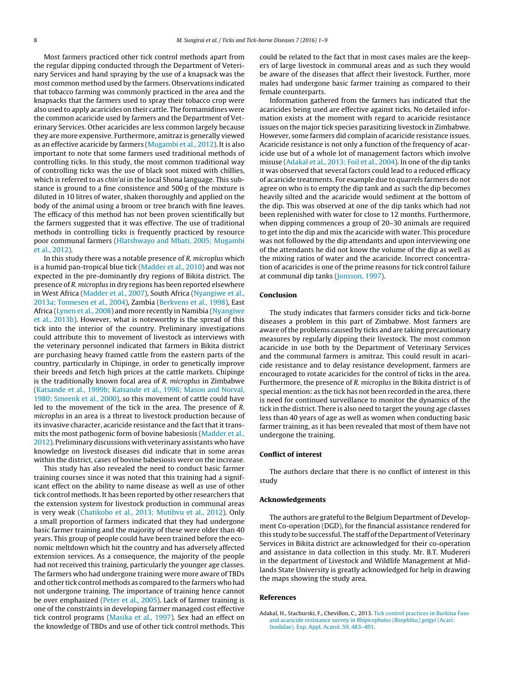Most farmers practiced other tick control methods apart from the regular dipping conducted through the Department of Veterinary Services and hand spraying by the use of a knapsack was the most common method used by the farmers. Observations indicated that tobacco farming was commonly practiced in the area and the knapsacks that the farmers used to spray their tobacco crop were also used to apply acaricides on their cattle. The formamidines were the common acaricide used by farmers and the Department of Veterinary Services. Other acaricides are less common largely because they are more expensive. Furthermore, amitraz is generally viewed as an effective acaricide by farmers ([Mugambi](#page-8-0) et [al.,](#page-8-0) [2012\).](#page-8-0) It is also important to note that some farmers used traditional methods of controlling ticks. In this study, the most common traditional way of controlling ticks was the use of black soot mixed with chillies, which is referred to as chin'ai in the local Shona language. This substance is ground to a fine consistence and 500 g of the mixture is diluted in 10 litres of water, shaken thoroughly and applied on the body of the animal using a broom or tree branch with fine leaves.

The efficacy of this method has not been proven scientifically but the farmers suggested that it was effective. The use of traditional methods in controlling ticks is frequently practiced by resource poor communal farmers ([Hlatshwayo](#page-8-0) [and](#page-8-0) [Mbati,](#page-8-0) [2005;](#page-8-0) [Mugambi](#page-8-0) et [al.,](#page-8-0) [2012\).](#page-8-0)

In this study there was a notable presence of R. microplus which is a humid pan-tropical blue tick ([Madder](#page-8-0) et [al.,](#page-8-0) [2010\)](#page-8-0) and was not expected in the pre-dominantly dry regions of Bikita district. The presence of R. microplus in dry regions has been reported elsewhere in West Africa ([Madder](#page-8-0) et [al.,](#page-8-0) [2007\),](#page-8-0) South Africa ([Nyangiwe](#page-8-0) et [al.,](#page-8-0) [2013a;](#page-8-0) [Tonnesen](#page-8-0) et [al.,](#page-8-0) [2004\),](#page-8-0) Zambia ([Berkvens](#page-8-0) et [al.,](#page-8-0) [1998\),](#page-8-0) East Africa ([Lynen](#page-8-0) et [al.,](#page-8-0) [2008\)](#page-8-0) and more recently in Namibia [\(Nyangiwe](#page-8-0) et [al.,](#page-8-0) [2013b\).](#page-8-0) However, what is noteworthy is the spread of this tick into the interior of the country. Preliminary investigations could attribute this to movement of livestock as interviews with the veterinary personnel indicated that farmers in Bikita district are purchasing heavy framed cattle from the eastern parts of the country, particularly in Chipinge, in order to genetically improve their breeds and fetch high prices at the cattle markets. Chipinge is the traditionally known focal area of R. microplus in Zimbabwe ([Katsande](#page-8-0) et [al.,](#page-8-0) [1999b;](#page-8-0) [Katsande](#page-8-0) et [al.,](#page-8-0) [1996;](#page-8-0) [Mason](#page-8-0) [and](#page-8-0) [Norval,](#page-8-0) [1980;](#page-8-0) [Smeenk](#page-8-0) et [al.,](#page-8-0) [2000\),](#page-8-0) so this movement of cattle could have led to the movement of the tick in the area. The presence of R. microplus in an area is a threat to livestock production because of its invasive character, acaricide resistance and the fact that it transmits the most pathogenic form of bovine babesiosis ([Madder](#page-8-0) et [al.,](#page-8-0) [2012\).](#page-8-0) Preliminary discussions with veterinary assistants who have knowledge on livestock diseases did indicate that in some areas within the district, cases of bovine babesiosis were on the increase.

This study has also revealed the need to conduct basic farmer training courses since it was noted that this training had a significant effect on the ability to name disease as well as use of other tick control methods. It has been reported by other researchers that the extension system for livestock production in communal areas is very weak [\(Chatikobo](#page-8-0) et [al.,](#page-8-0) [2013;](#page-8-0) [Mutibvu](#page-8-0) et [al.,](#page-8-0) [2012\).](#page-8-0) Only a small proportion of farmers indicated that they had undergone basic farmer training and the majority of these were older than 40 years. This group of people could have been trained before the economic meltdown which hit the country and has adversely affected extension services. As a consequence, the majority of the people had not received this training, particularly the younger age classes. The farmers who had undergone training were more aware of TBDs and other tick control methods as compared to the farmers who had not undergone training. The importance of training hence cannot be over emphasized ([Peter](#page-8-0) et [al.,](#page-8-0) [2005\).](#page-8-0) Lack of farmer training is one of the constraints in developing farmer managed cost effective tick control programs [\(Masika](#page-8-0) et [al.,](#page-8-0) [1997\).](#page-8-0) Sex had an effect on the knowledge of TBDs and use of other tick control methods. This

could be related to the fact that in most cases males are the keepers of large livestock in communal areas and as such they would be aware of the diseases that affect their livestock. Further, more males had undergone basic farmer training as compared to their female counterparts.

Information gathered from the farmers has indicated that the acaricides being used are effective against ticks. No detailed information exists at the moment with regard to acaricide resistance issues on the major tick species parasitizing livestock in Zimbabwe. However, some farmers did complain of acaricide resistance issues. Acaricide resistance is not only a function of the frequency of acaricide use but of a whole lot of management factors which involve misuse (Adakal et al., 2013; Foil et al., 2004). In one of the dip tanks it was observed that several factors could lead to a reduced efficacy of acaricide treatments. For example due to quarrels farmers do not agree on who is to empty the dip tank and as such the dip becomes heavily silted and the acaricide would sediment at the bottom of the dip. This was observed at one of the dip tanks which had not been replenished with water for close to 12 months. Furthermore, when dipping commences a group of 20–30 animals are required to get into the dip and mix the acaricide with water. This procedure was not followed by the dip attendants and upon interviewing one of the attendants he did not know the volume of the dip as well as the mixing ratios of water and the acaricide. Incorrect concentration of acaricides is one of the prime reasons for tick control failure at communal dip tanks [\(Jonsson,](#page-8-0) [1997\).](#page-8-0)

#### **Conclusion**

The study indicates that farmers consider ticks and tick-borne diseases a problem in this part of Zimbabwe. Most farmers are aware of the problems caused by ticks and are taking precautionary measures by regularly dipping their livestock. The most common acaricide in use both by the Department of Veterinary Services and the communal farmers is amitraz. This could result in acaricide resistance and to delay resistance development, farmers are encouraged to rotate acaricides for the control of ticks in the area. Furthermore, the presence of R. microplus in the Bikita district is of special mention: as the tick has not been recorded in the area, there is need for continued surveillance to monitor the dynamics of the tick in the district. There is also need to target the young age classes less than 40 years of age as well as women when conducting basic farmer training, as it has been revealed that most of them have not undergone the training.

#### **Conflict of interest**

The authors declare that there is no conflict of interest in this study

#### **Acknowledgements**

The authors are grateful to the Belgium Department of Development Co-operation (DGD), for the financial assistance rendered for this study to be successful. The staff of the Department of Veterinary Services in Bikita district are acknowledged for their co-operation and assistance in data collection in this study. Mr. B.T. Mudereri in the department of Livestock and Wildlife Management at Midlands State University is greatly acknowledged for help in drawing the maps showing the study area.

#### **References**

Adakal, H., Stachurski, F., Chevillon, C., 2013. [Tick](http://refhub.elsevier.com/S1877-959X(15)00145-4/sbref0005) [control](http://refhub.elsevier.com/S1877-959X(15)00145-4/sbref0005) [practices](http://refhub.elsevier.com/S1877-959X(15)00145-4/sbref0005) [in](http://refhub.elsevier.com/S1877-959X(15)00145-4/sbref0005) [Burkina](http://refhub.elsevier.com/S1877-959X(15)00145-4/sbref0005) [Faso](http://refhub.elsevier.com/S1877-959X(15)00145-4/sbref0005) [and](http://refhub.elsevier.com/S1877-959X(15)00145-4/sbref0005) [acaricide](http://refhub.elsevier.com/S1877-959X(15)00145-4/sbref0005) [resistance](http://refhub.elsevier.com/S1877-959X(15)00145-4/sbref0005) [survey](http://refhub.elsevier.com/S1877-959X(15)00145-4/sbref0005) [in](http://refhub.elsevier.com/S1877-959X(15)00145-4/sbref0005) [Rhipicephalus](http://refhub.elsevier.com/S1877-959X(15)00145-4/sbref0005) [\(Boophilus\)](http://refhub.elsevier.com/S1877-959X(15)00145-4/sbref0005) [geigyi](http://refhub.elsevier.com/S1877-959X(15)00145-4/sbref0005) [\(Acari:](http://refhub.elsevier.com/S1877-959X(15)00145-4/sbref0005) [Ixodidae\).](http://refhub.elsevier.com/S1877-959X(15)00145-4/sbref0005) [Exp.](http://refhub.elsevier.com/S1877-959X(15)00145-4/sbref0005) [Appl.](http://refhub.elsevier.com/S1877-959X(15)00145-4/sbref0005) [Acarol.](http://refhub.elsevier.com/S1877-959X(15)00145-4/sbref0005) [59,](http://refhub.elsevier.com/S1877-959X(15)00145-4/sbref0005) [483–491.](http://refhub.elsevier.com/S1877-959X(15)00145-4/sbref0005)